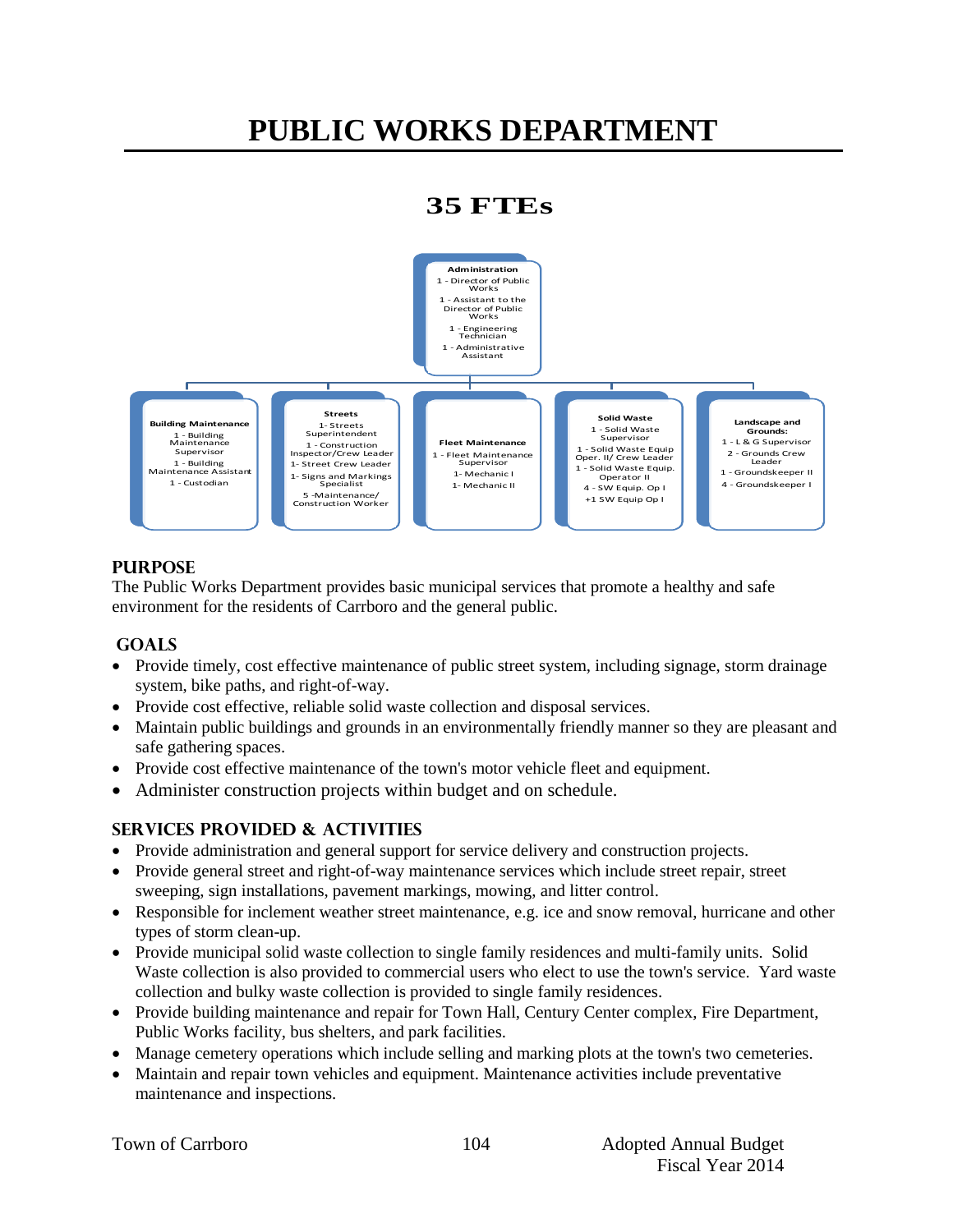# **PUBLIC WORKS DEPARTMENT**

### **35 FTEs**



#### **PURPOSE**

The Public Works Department provides basic municipal services that promote a healthy and safe environment for the residents of Carrboro and the general public.

#### **GOALS**

- Provide timely, cost effective maintenance of public street system, including signage, storm drainage system, bike paths, and right-of-way.
- Provide cost effective, reliable solid waste collection and disposal services.
- Maintain public buildings and grounds in an environmentally friendly manner so they are pleasant and safe gathering spaces.
- Provide cost effective maintenance of the town's motor vehicle fleet and equipment.
- Administer construction projects within budget and on schedule.

#### **Services PROVIDED & ACTIVITIES**

- Provide administration and general support for service delivery and construction projects.
- Provide general street and right-of-way maintenance services which include street repair, street sweeping, sign installations, pavement markings, mowing, and litter control.
- Responsible for inclement weather street maintenance, e.g. ice and snow removal, hurricane and other types of storm clean-up.
- Provide municipal solid waste collection to single family residences and multi-family units. Solid Waste collection is also provided to commercial users who elect to use the town's service. Yard waste collection and bulky waste collection is provided to single family residences.
- Provide building maintenance and repair for Town Hall, Century Center complex, Fire Department, Public Works facility, bus shelters, and park facilities.
- Manage cemetery operations which include selling and marking plots at the town's two cemeteries.
- Maintain and repair town vehicles and equipment. Maintenance activities include preventative maintenance and inspections.

|  |  | Town of Carrboro |
|--|--|------------------|
|--|--|------------------|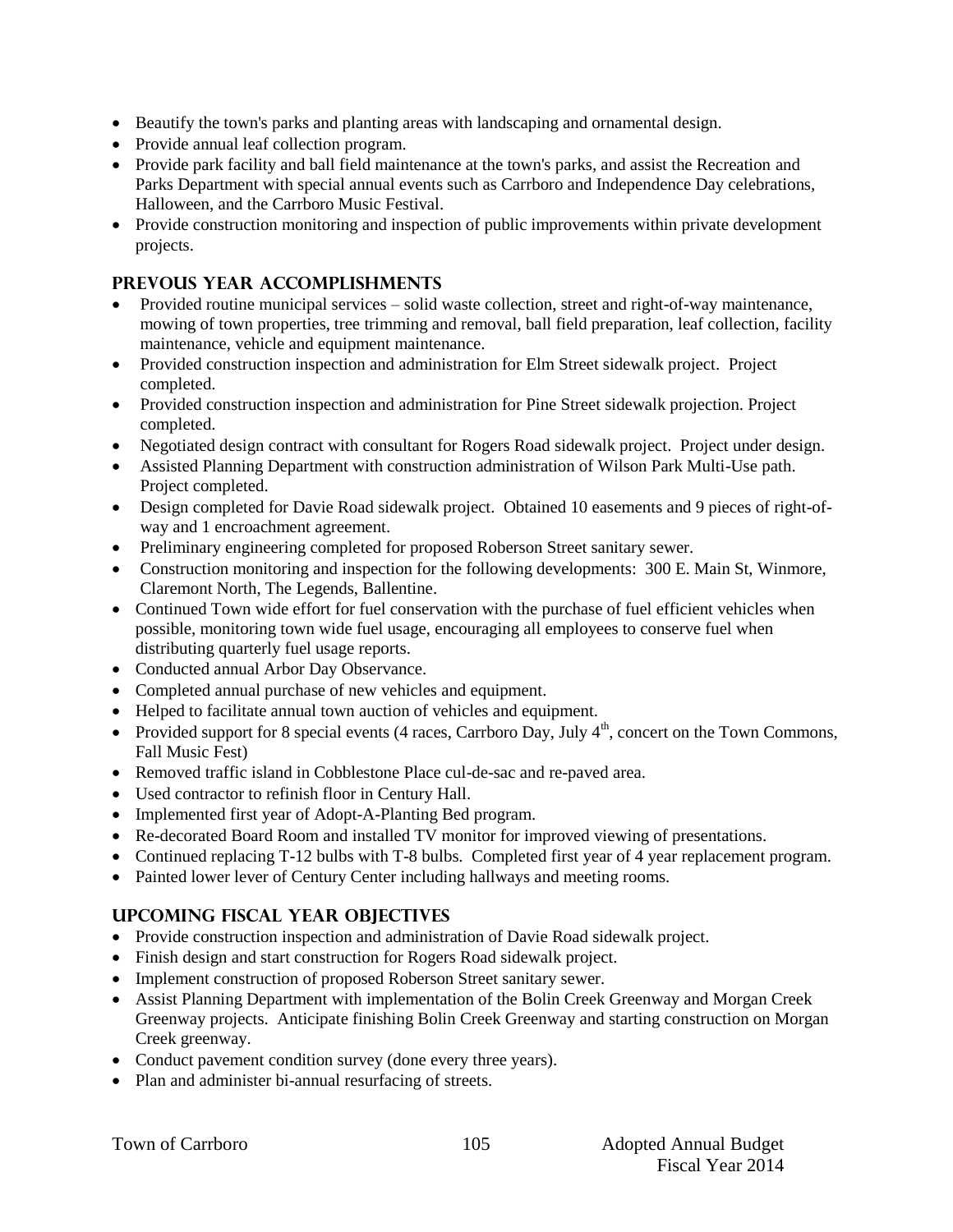- Beautify the town's parks and planting areas with landscaping and ornamental design.
- Provide annual leaf collection program.
- Provide park facility and ball field maintenance at the town's parks, and assist the Recreation and Parks Department with special annual events such as Carrboro and Independence Day celebrations, Halloween, and the Carrboro Music Festival.
- Provide construction monitoring and inspection of public improvements within private development projects.

#### **PREVOUS YEAR ACCOMPLISHMENTS**

- Provided routine municipal services solid waste collection, street and right-of-way maintenance, mowing of town properties, tree trimming and removal, ball field preparation, leaf collection, facility maintenance, vehicle and equipment maintenance.
- Provided construction inspection and administration for Elm Street sidewalk project. Project completed.
- Provided construction inspection and administration for Pine Street sidewalk projection. Project completed.
- Negotiated design contract with consultant for Rogers Road sidewalk project. Project under design.
- Assisted Planning Department with construction administration of Wilson Park Multi-Use path. Project completed.
- Design completed for Davie Road sidewalk project. Obtained 10 easements and 9 pieces of right-ofway and 1 encroachment agreement.
- Preliminary engineering completed for proposed Roberson Street sanitary sewer.
- Construction monitoring and inspection for the following developments: 300 E. Main St, Winmore, Claremont North, The Legends, Ballentine.
- Continued Town wide effort for fuel conservation with the purchase of fuel efficient vehicles when possible, monitoring town wide fuel usage, encouraging all employees to conserve fuel when distributing quarterly fuel usage reports.
- Conducted annual Arbor Day Observance.
- Completed annual purchase of new vehicles and equipment.
- Helped to facilitate annual town auction of vehicles and equipment.
- Provided support for 8 special events (4 races, Carrboro Day, July  $4<sup>th</sup>$ , concert on the Town Commons, Fall Music Fest)
- Removed traffic island in Cobblestone Place cul-de-sac and re-paved area.
- Used contractor to refinish floor in Century Hall.
- Implemented first year of Adopt-A-Planting Bed program.
- Re-decorated Board Room and installed TV monitor for improved viewing of presentations.
- Continued replacing T-12 bulbs with T-8 bulbs. Completed first year of 4 year replacement program.
- Painted lower lever of Century Center including hallways and meeting rooms.

#### **UPCOMING FISCAL YEAR OBJECTIVES**

- Provide construction inspection and administration of Davie Road sidewalk project.
- Finish design and start construction for Rogers Road sidewalk project.
- Implement construction of proposed Roberson Street sanitary sewer.
- Assist Planning Department with implementation of the Bolin Creek Greenway and Morgan Creek Greenway projects. Anticipate finishing Bolin Creek Greenway and starting construction on Morgan Creek greenway.
- Conduct pavement condition survey (done every three years).
- Plan and administer bi-annual resurfacing of streets.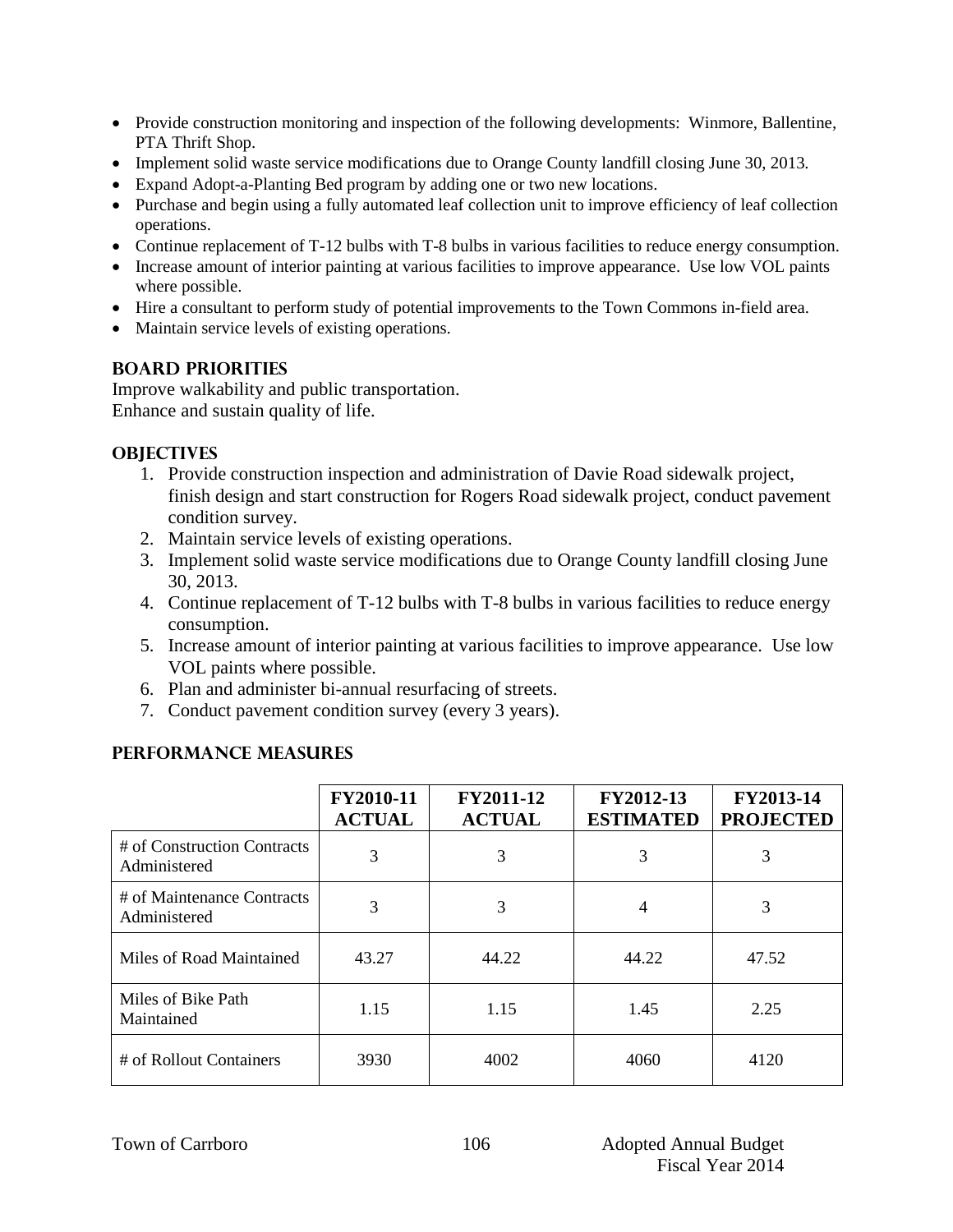- Provide construction monitoring and inspection of the following developments: Winmore, Ballentine, PTA Thrift Shop.
- Implement solid waste service modifications due to Orange County landfill closing June 30, 2013.
- Expand Adopt-a-Planting Bed program by adding one or two new locations.
- Purchase and begin using a fully automated leaf collection unit to improve efficiency of leaf collection operations.
- Continue replacement of T-12 bulbs with T-8 bulbs in various facilities to reduce energy consumption.
- Increase amount of interior painting at various facilities to improve appearance. Use low VOL paints where possible.
- Hire a consultant to perform study of potential improvements to the Town Commons in-field area.
- Maintain service levels of existing operations.

#### **BOARD PRIORITIES**

Improve walkability and public transportation. Enhance and sustain quality of life.

#### **OBJECTIVES**

- 1. Provide construction inspection and administration of Davie Road sidewalk project, finish design and start construction for Rogers Road sidewalk project, conduct pavement condition survey.
- 2. Maintain service levels of existing operations.
- 3. Implement solid waste service modifications due to Orange County landfill closing June 30, 2013.
- 4. Continue replacement of T-12 bulbs with T-8 bulbs in various facilities to reduce energy consumption.
- 5. Increase amount of interior painting at various facilities to improve appearance. Use low VOL paints where possible.
- 6. Plan and administer bi-annual resurfacing of streets.
- 7. Conduct pavement condition survey (every 3 years).

|                                             | FY2010-11<br><b>ACTUAL</b> | <b>FY2011-12</b><br><b>ACTUAL</b> | FY2012-13<br><b>ESTIMATED</b> | FY2013-14<br><b>PROJECTED</b> |
|---------------------------------------------|----------------------------|-----------------------------------|-------------------------------|-------------------------------|
| # of Construction Contracts<br>Administered | 3                          | 3                                 | 3                             | 3                             |
| # of Maintenance Contracts<br>Administered  | 3                          | 3                                 | 4                             | 3                             |
| Miles of Road Maintained                    | 43.27                      | 44.22                             | 44.22                         | 47.52                         |
| Miles of Bike Path<br>Maintained            | 1.15                       | 1.15                              | 1.45                          | 2.25                          |
| # of Rollout Containers                     | 3930                       | 4002                              | 4060                          | 4120                          |

#### **PERFORMANCE MEASURES**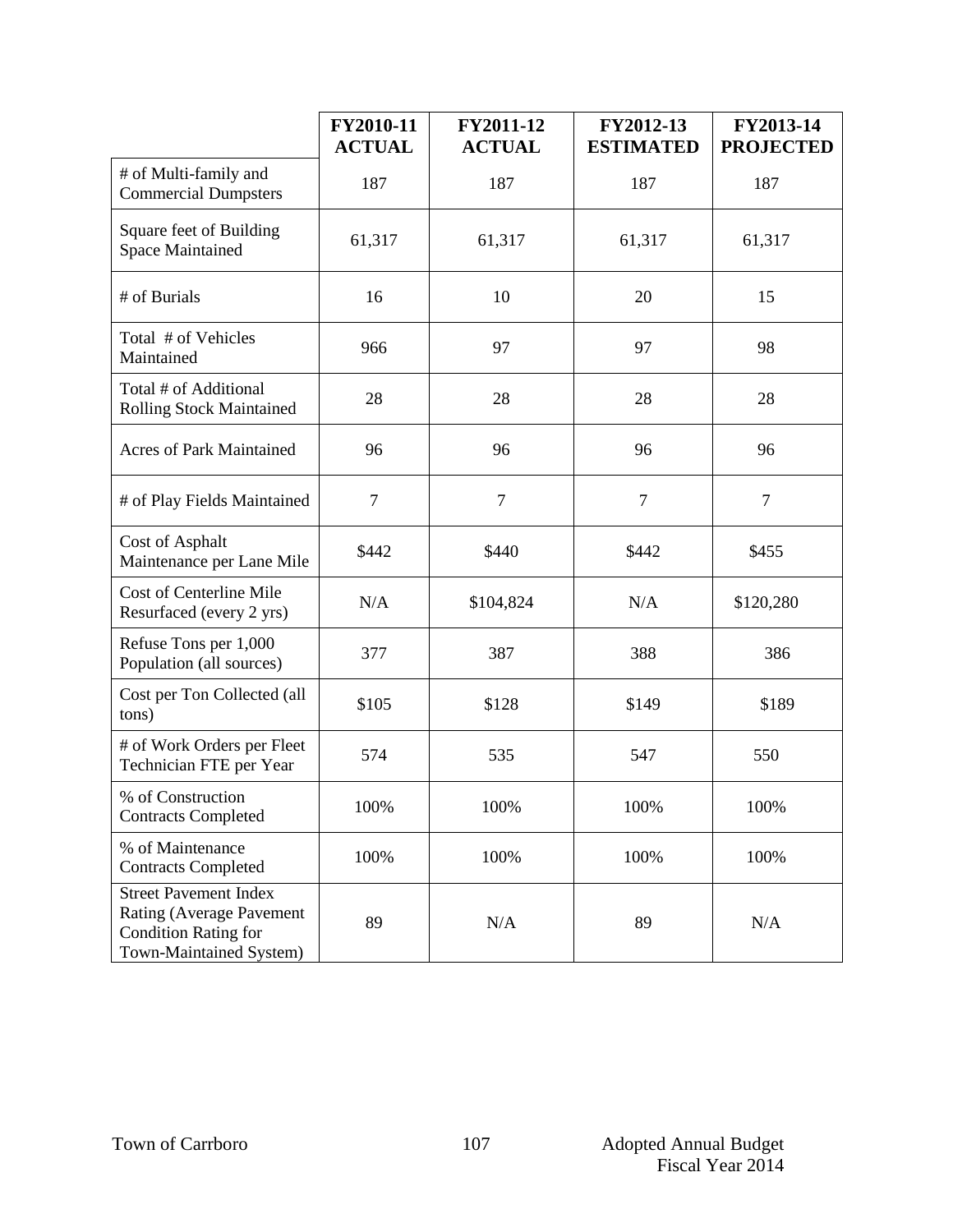|                                                                                                                    | FY2010-11<br><b>ACTUAL</b> | FY2011-12<br><b>ACTUAL</b> | FY2012-13<br><b>ESTIMATED</b> | FY2013-14<br><b>PROJECTED</b> |
|--------------------------------------------------------------------------------------------------------------------|----------------------------|----------------------------|-------------------------------|-------------------------------|
| # of Multi-family and<br><b>Commercial Dumpsters</b>                                                               | 187                        | 187                        | 187                           | 187                           |
| Square feet of Building<br><b>Space Maintained</b>                                                                 | 61,317                     | 61,317                     | 61,317                        | 61,317                        |
| # of Burials                                                                                                       | 16                         | 10                         | 20                            | 15                            |
| Total # of Vehicles<br>Maintained                                                                                  | 966                        | 97                         | 97                            | 98                            |
| Total # of Additional<br><b>Rolling Stock Maintained</b>                                                           | 28                         | 28                         | 28                            | 28                            |
| <b>Acres of Park Maintained</b>                                                                                    | 96                         | 96                         | 96                            | 96                            |
| # of Play Fields Maintained                                                                                        | $\tau$                     | $\tau$                     | $\overline{7}$                | $\overline{7}$                |
| Cost of Asphalt<br>Maintenance per Lane Mile                                                                       | \$442                      | \$440                      | \$442                         | \$455                         |
| Cost of Centerline Mile<br>Resurfaced (every 2 yrs)                                                                | N/A                        | \$104,824                  | N/A                           | \$120,280                     |
| Refuse Tons per 1,000<br>Population (all sources)                                                                  | 377                        | 387                        | 388                           | 386                           |
| Cost per Ton Collected (all<br>tons)                                                                               | \$105                      | \$128                      | \$149                         | \$189                         |
| # of Work Orders per Fleet<br>Technician FTE per Year                                                              | 574                        | 535                        | 547                           | 550                           |
| % of Construction<br><b>Contracts Completed</b>                                                                    | 100%                       | 100%                       | 100%                          | 100%                          |
| % of Maintenance<br><b>Contracts Completed</b>                                                                     | 100%                       | 100%                       | 100%                          | 100%                          |
| <b>Street Pavement Index</b><br>Rating (Average Pavement<br><b>Condition Rating for</b><br>Town-Maintained System) | 89                         | N/A                        | 89                            | N/A                           |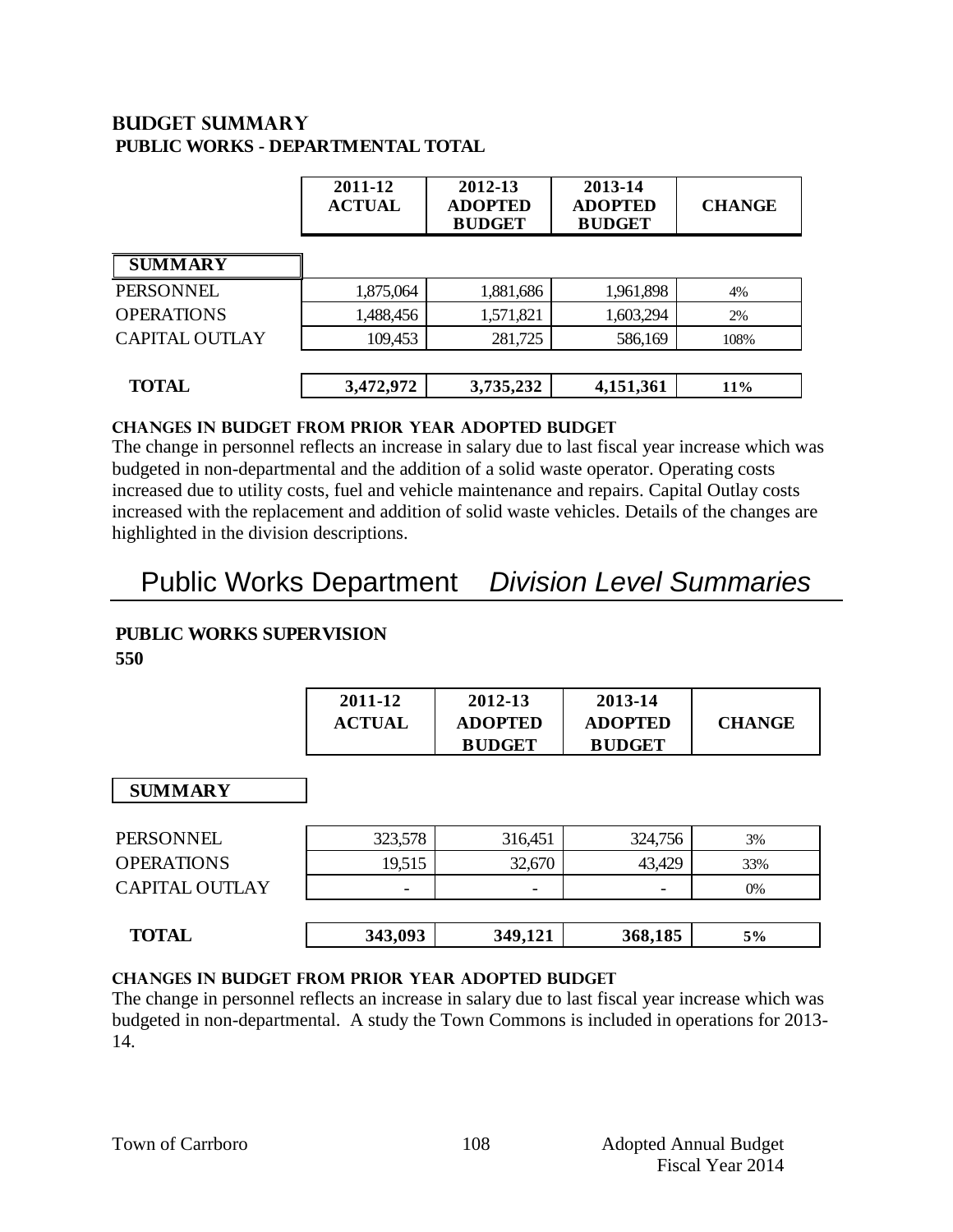#### **Budget summary PUBLIC WORKS - DEPARTMENTAL TOTAL**

|                       | 2011-12<br><b>ACTUAL</b> | 2012-13<br><b>ADOPTED</b><br><b>BUDGET</b> | 2013-14<br><b>ADOPTED</b><br><b>BUDGET</b> | <b>CHANGE</b> |
|-----------------------|--------------------------|--------------------------------------------|--------------------------------------------|---------------|
| <b>SUMMARY</b>        |                          |                                            |                                            |               |
| PERSONNEL             | 1,875,064                | 1,881,686                                  | 1,961,898                                  | 4%            |
| <b>OPERATIONS</b>     | 1,488,456                | 1,571,821                                  | 1,603,294                                  | 2%            |
| <b>CAPITAL OUTLAY</b> | 109,453                  | 281,725                                    | 586,169                                    | 108%          |
|                       |                          |                                            |                                            |               |
| <b>TOTAL</b>          | 3,472,972                | 3,735,232                                  | 4,151,361                                  | <b>11%</b>    |

#### **CHANGES IN BUDGET from PRIOR YEAR ADOPTED BUDGET**

The change in personnel reflects an increase in salary due to last fiscal year increase which was budgeted in non-departmental and the addition of a solid waste operator. Operating costs increased due to utility costs, fuel and vehicle maintenance and repairs. Capital Outlay costs increased with the replacement and addition of solid waste vehicles. Details of the changes are highlighted in the division descriptions.

### Public Works Department *Division Level Summaries*

#### **PUBLIC WORKS SUPERVISION**

**550**

| 2011-12       | 2012-13        | 2013-14        |               |
|---------------|----------------|----------------|---------------|
| <b>ACTUAL</b> | <b>ADOPTED</b> | <b>ADOPTED</b> | <b>CHANGE</b> |
|               | <b>BUDGET</b>  | <b>BUDGET</b>  |               |

#### **SUMMARY**

| <b>PERSONNEL</b>      | 323,578 | 316,451 | 324,756                  | 3%  |
|-----------------------|---------|---------|--------------------------|-----|
| <b>OPERATIONS</b>     | 19,515  | 32,670  | 43,429                   | 33% |
| <b>CAPITAL OUTLAY</b> |         | -       | $\overline{\phantom{0}}$ | 0%  |
|                       |         |         |                          |     |
| <b>TOTAL</b>          | 343,093 | 349,121 | 368,185                  | 5%  |
|                       |         |         |                          |     |

#### **changes in budget from prior year adopted budget**

The change in personnel reflects an increase in salary due to last fiscal year increase which was budgeted in non-departmental. A study the Town Commons is included in operations for 2013- 14.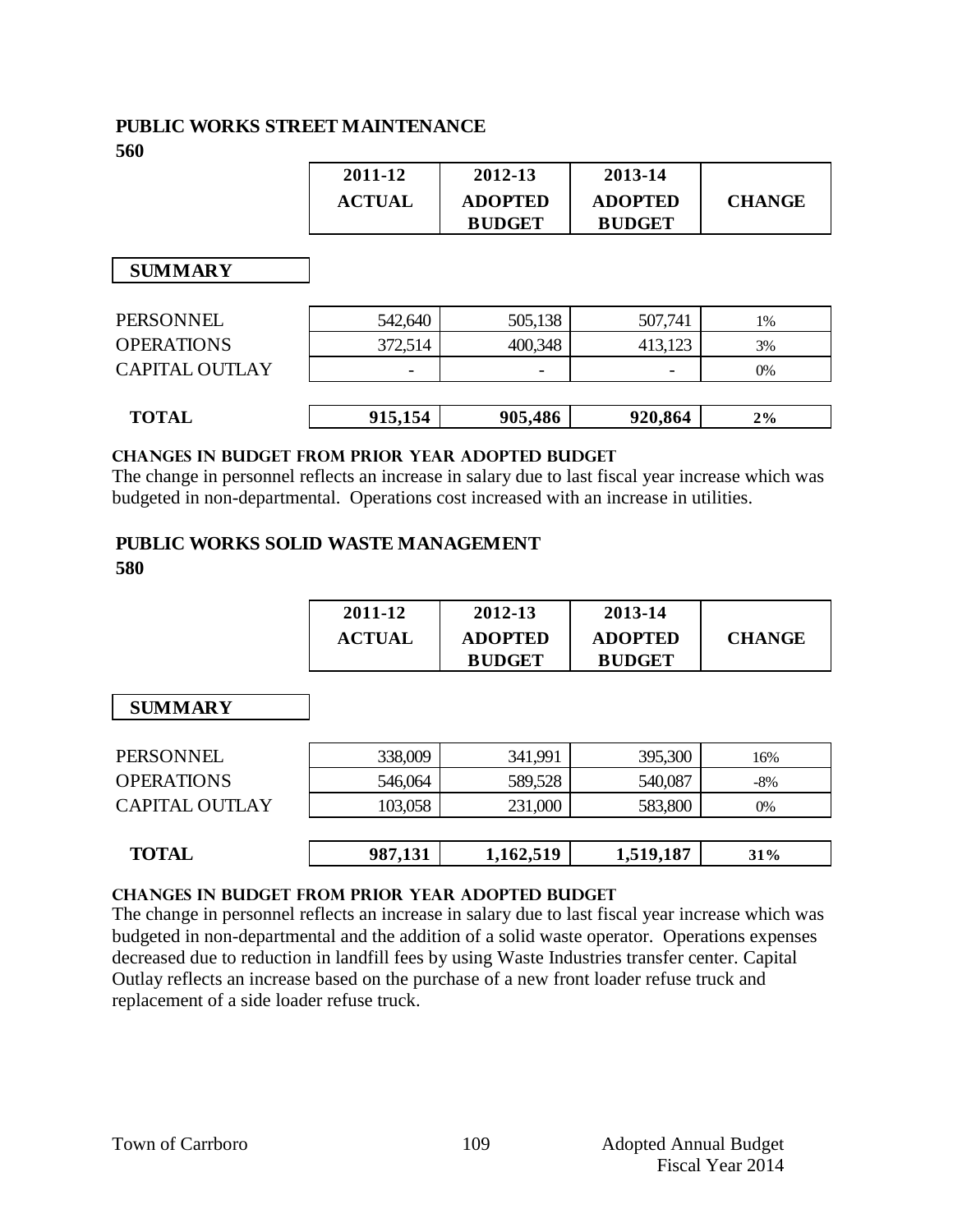## **PUBLIC WORKS STREET MAINTENANCE**

**560**

|                   | 2011-12<br><b>ACTUAL</b> | 2012-13<br><b>ADOPTED</b><br><b>BUDGET</b> | 2013-14<br><b>ADOPTED</b><br><b>BUDGET</b> | <b>CHANGE</b> |
|-------------------|--------------------------|--------------------------------------------|--------------------------------------------|---------------|
| <b>SUMMARY</b>    |                          |                                            |                                            |               |
| PERSONNEL         | 542,640                  | 505,138                                    | 507,741                                    | 1%            |
| <b>OPERATIONS</b> | 372,514                  | 400,348                                    | 413,123                                    | 3%            |
| CAPITAL OUTLAY    |                          |                                            |                                            | $0\%$         |
| <b>TOTAL</b>      | 915,154                  | 905,486                                    | 920,864                                    | $2\%$         |

#### **Changes in budget from prior year adopted budget**

The change in personnel reflects an increase in salary due to last fiscal year increase which was budgeted in non-departmental. Operations cost increased with an increase in utilities.

#### **PUBLIC WORKS SOLID WASTE MANAGEMENT 580**

| 2011-12       | 2012-13        | 2013-14        |               |
|---------------|----------------|----------------|---------------|
| <b>ACTUAL</b> | <b>ADOPTED</b> | <b>ADOPTED</b> | <b>CHANGE</b> |
|               | <b>BUDGET</b>  | <b>BUDGET</b>  |               |

 **SUMMARY**

| <b>TOTAL</b>          | 987,131 | 1,162,519 | 1,519,187 | 31%   |
|-----------------------|---------|-----------|-----------|-------|
|                       |         |           |           |       |
| <b>CAPITAL OUTLAY</b> | 103,058 | 231,000   | 583,800   | $0\%$ |
| <b>OPERATIONS</b>     | 546,064 | 589,528   | 540,087   | $-8%$ |
| <b>PERSONNEL</b>      | 338,009 | 341,991   | 395,300   | 16%   |

#### **changes in budget from prior year adopted budget**

The change in personnel reflects an increase in salary due to last fiscal year increase which was budgeted in non-departmental and the addition of a solid waste operator. Operations expenses decreased due to reduction in landfill fees by using Waste Industries transfer center. Capital Outlay reflects an increase based on the purchase of a new front loader refuse truck and replacement of a side loader refuse truck.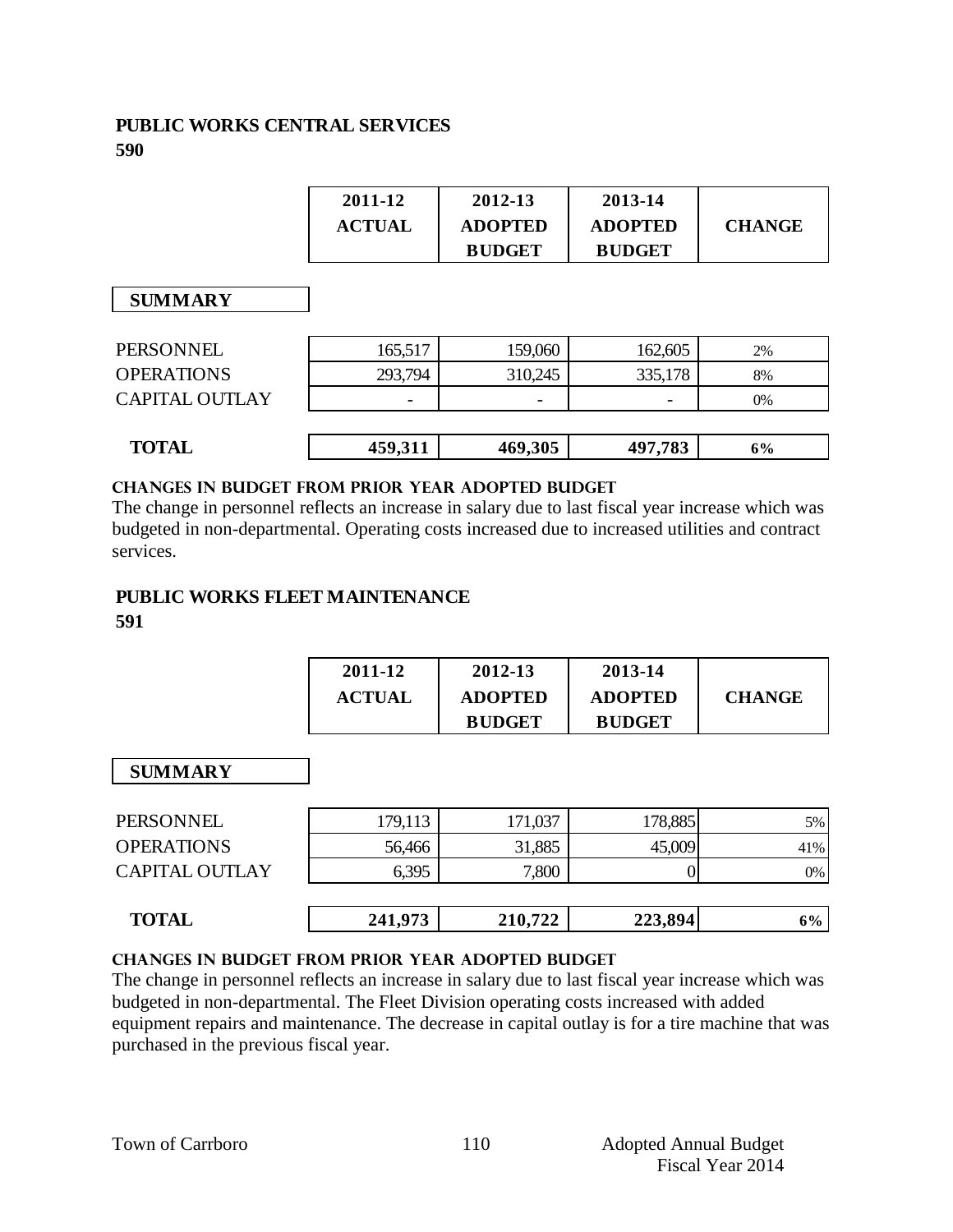#### **PUBLIC WORKS CENTRAL SERVICES 590**

| 2011-12       | 2012-13        | 2013-14        |               |
|---------------|----------------|----------------|---------------|
| <b>ACTUAL</b> | <b>ADOPTED</b> | <b>ADOPTED</b> | <b>CHANGE</b> |
|               | <b>BUDGET</b>  | <b>BUDGET</b>  |               |

 **SUMMARY**

| <b>PERSONNEL</b>      | 165,517 | 159,060                  | 162,605 | 2% |
|-----------------------|---------|--------------------------|---------|----|
| <b>OPERATIONS</b>     | 293,794 | 310,245                  | 335,178 | 8% |
| <b>CAPITAL OUTLAY</b> | -       | $\overline{\phantom{0}}$ | -       | 0% |
|                       |         |                          |         |    |
| <b>TOTAL</b>          | 459,311 | 469,305                  | 497,783 | 6% |
|                       |         |                          |         |    |

#### **changes in budget from prior year adopted budget**

The change in personnel reflects an increase in salary due to last fiscal year increase which was budgeted in non-departmental. Operating costs increased due to increased utilities and contract services.

### **PUBLIC WORKS FLEET MAINTENANCE**

#### **591**

| 2011-12       | 2012-13        | 2013-14        |               |
|---------------|----------------|----------------|---------------|
| <b>ACTUAL</b> | <b>ADOPTED</b> | <b>ADOPTED</b> | <b>CHANGE</b> |
|               | <b>BUDGET</b>  | <b>BUDGET</b>  |               |

#### **SUMMARY**

| <b>TOTAL</b>          | 241,973 | 210,722 | 223,894 | 6%  |
|-----------------------|---------|---------|---------|-----|
| <b>CAPITAL OUTLAY</b> | 6,395   | 7,800   |         | 0%  |
| <b>OPERATIONS</b>     | 56,466  | 31,885  | 45,009  | 41% |
| PERSONNEL             | 179,113 | 171,037 | 178,885 | 5%  |

#### **changes in budget from prior year adopted budget**

The change in personnel reflects an increase in salary due to last fiscal year increase which was budgeted in non-departmental. The Fleet Division operating costs increased with added equipment repairs and maintenance. The decrease in capital outlay is for a tire machine that was purchased in the previous fiscal year.